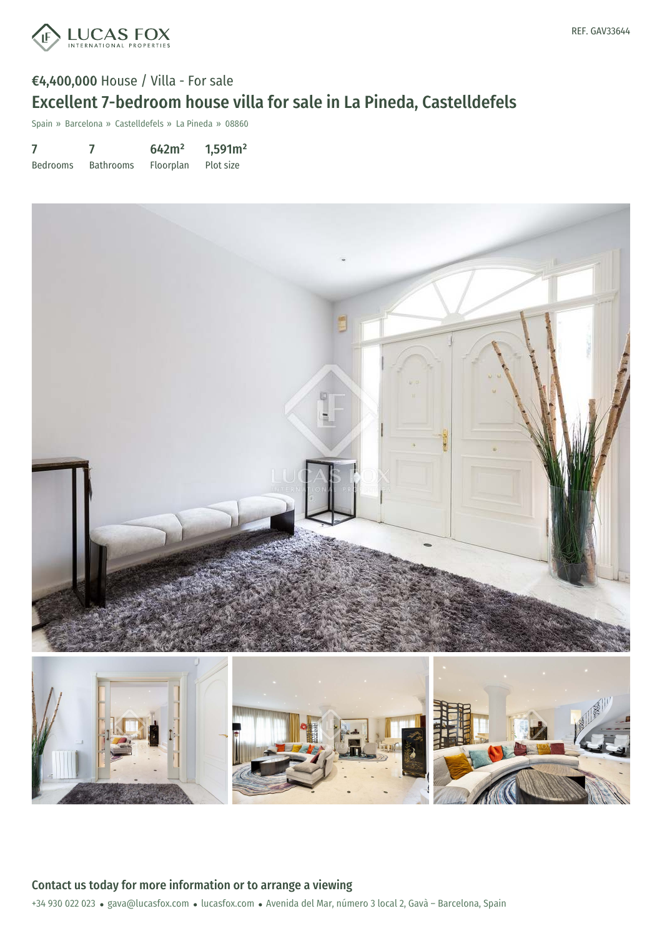

# €4,400,000 House / Villa - For sale Excellent 7-bedroom house villa for sale in La Pineda, Castelldefels

Spain » Barcelona » Castelldefels » La Pineda » 08860

|                 |                  | 642m <sup>2</sup> | 1,591m <sup>2</sup> |
|-----------------|------------------|-------------------|---------------------|
| <b>Bedrooms</b> | <b>Bathrooms</b> | Floorplan         | Plot size           |



+34 930 022 023 · gava@lucasfox.com · lucasfox.com · Avenida del Mar, número 3 local 2, Gavà - Barcelona, Spain Contact us today for more information or to arrange a viewing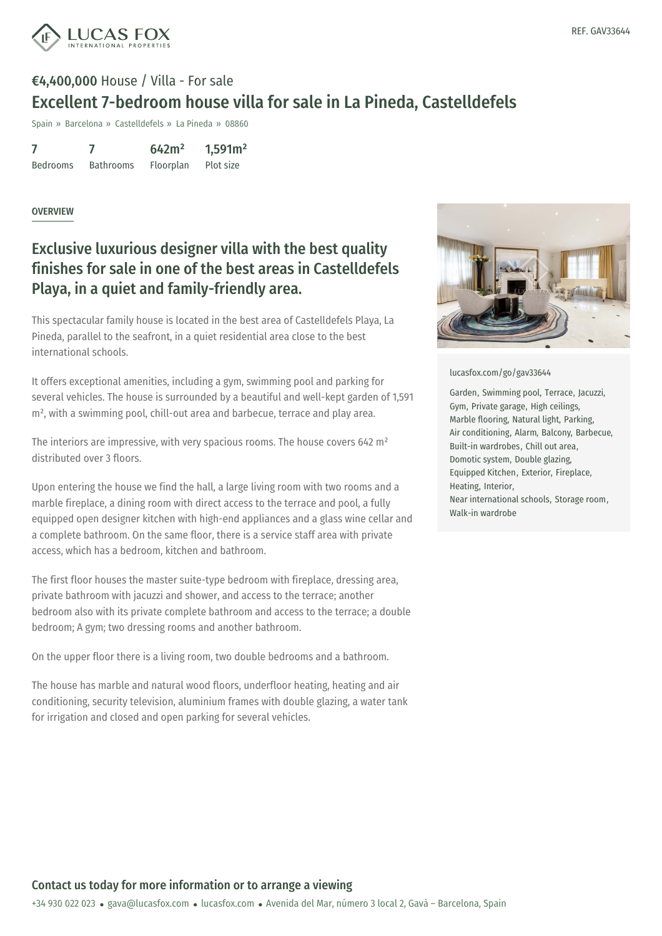

## €4,400,000 House / Villa - For sale Excellent 7-bedroom house villa for sale in La Pineda, Castelldefels

Spain » Barcelona » Castelldefels » La Pineda » 08860

7 Bedrooms 7 Bathrooms 642m² Floorplan 1,591m² Plot size

### OVERVIEW

## Exclusive luxurious designer villa with the best quality finishes for sale in one of the best areas in Castelldefels Playa, in a quiet and family-friendly area.

This spectacular family house is located in the best area of Castelldefels Playa, La Pineda, parallel to the seafront, in a quiet residential area close to the best international schools.

It offers exceptional amenities, including a gym, swimming pool and parking for several vehicles. The house is surrounded by a beautiful and well-kept garden of 1,591 m², with a swimming pool, chill-out area and barbecue, terrace and play area.

The interiors are impressive, with very spacious rooms. The house covers 642 m² distributed over 3 floors.

Upon entering the house we find the hall, a large living room with two rooms and a marble fireplace, a dining room with direct access to the terrace and pool, a fully equipped open designer kitchen with high-end appliances and a glass wine cellar and a complete bathroom. On the same floor, there is a service staff area with private access, which has a bedroom, kitchen and bathroom.

The first floor houses the master suite-type bedroom with fireplace, dressing area, private bathroom with jacuzzi and shower, and access to the terrace; another bedroom also with its private complete bathroom and access to the terrace; a double bedroom; A gym; two dressing rooms and another bathroom.

On the upper floor there is a living room, two double bedrooms and a bathroom.

The house has marble and natural wood floors, underfloor heating, heating and air conditioning, security [television,](mailto:gava@lucasfox.com) aluminium [frames](https://www.lucasfox.com) with double glazing, a water tank for irrigation and closed and open parking for several vehicles.



#### [lucasfox.com/go/gav33644](https://www.lucasfox.com/go/gav33644)

Garden, Swimming pool, Terrace, Jacuzzi, Gym, Private garage, High ceilings, Marble flooring, Natural light, Parking, Air conditioning, Alarm, Balcony, Barbecue, Built-in wardrobes, Chill out area, Domotic system, Double glazing, Equipped Kitchen, Exterior, Fireplace, Heating, Interior, Near international schools, Storage room, Walk-in wardrobe